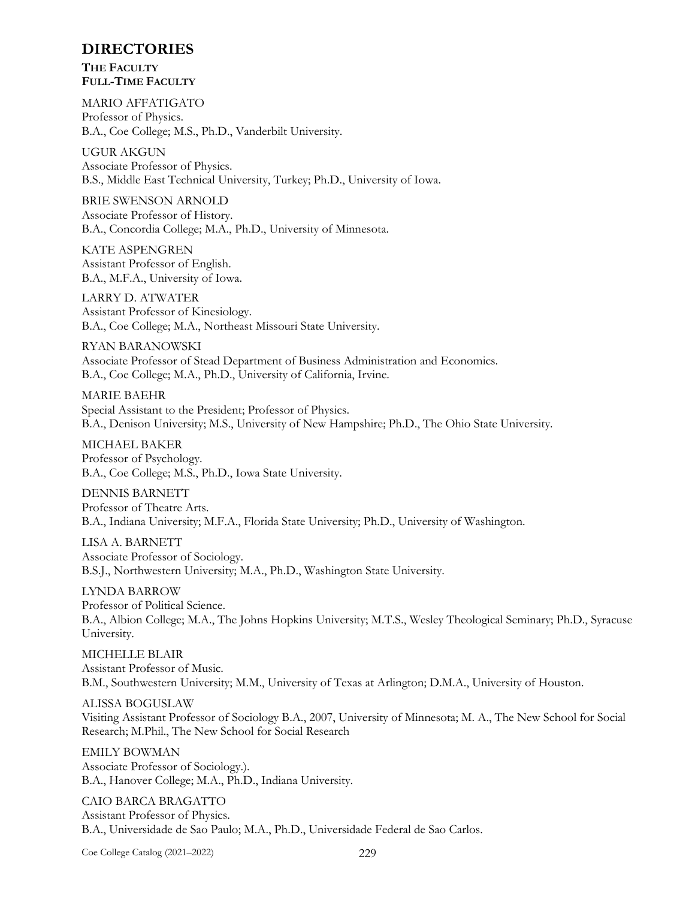## **DIRECTORIES**

**THE FACULTY FULL-TIME FACULTY** 

MARIO AFFATIGATO Professor of Physics. B.A., Coe College; M.S., Ph.D., Vanderbilt University.

UGUR AKGUN Associate Professor of Physics. B.S., Middle East Technical University, Turkey; Ph.D., University of Iowa.

BRIE SWENSON ARNOLD Associate Professor of History. B.A., Concordia College; M.A., Ph.D., University of Minnesota.

KATE ASPENGREN Assistant Professor of English. B.A., M.F.A., University of Iowa.

LARRY D. ATWATER Assistant Professor of Kinesiology. B.A., Coe College; M.A., Northeast Missouri State University.

RYAN BARANOWSKI Associate Professor of Stead Department of Business Administration and Economics. B.A., Coe College; M.A., Ph.D., University of California, Irvine.

MARIE BAEHR Special Assistant to the President; Professor of Physics. B.A., Denison University; M.S., University of New Hampshire; Ph.D., The Ohio State University.

MICHAEL BAKER Professor of Psychology. B.A., Coe College; M.S., Ph.D., Iowa State University.

DENNIS BARNETT Professor of Theatre Arts. B.A., Indiana University; M.F.A., Florida State University; Ph.D., University of Washington.

LISA A. BARNETT Associate Professor of Sociology. B.S.J., Northwestern University; M.A., Ph.D., Washington State University.

LYNDA BARROW Professor of Political Science. B.A., Albion College; M.A., The Johns Hopkins University; M.T.S., Wesley Theological Seminary; Ph.D., Syracuse University.

MICHELLE BLAIR Assistant Professor of Music. B.M., Southwestern University; M.M., University of Texas at Arlington; D.M.A., University of Houston.

ALISSA BOGUSLAW Visiting Assistant Professor of Sociology B.A., 2007, University of Minnesota; M. A., The New School for Social Research; M.Phil., The New School for Social Research

EMILY BOWMAN Associate Professor of Sociology.). B.A., Hanover College; M.A., Ph.D., Indiana University.

CAIO BARCA BRAGATTO Assistant Professor of Physics. B.A., Universidade de Sao Paulo; M.A., Ph.D., Universidade Federal de Sao Carlos.

Coe College Catalog (2021–2022) 229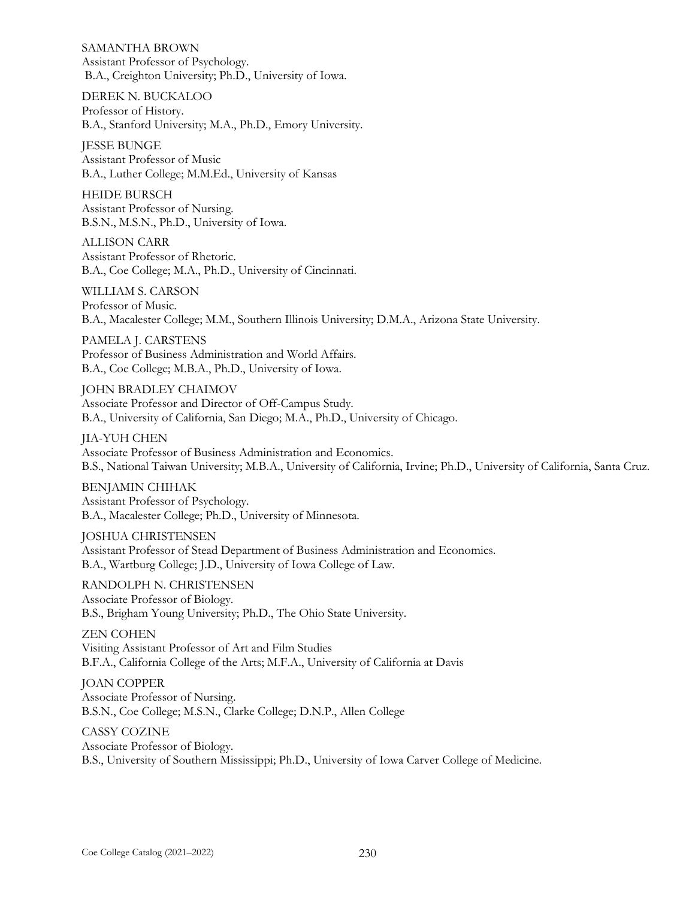SAMANTHA BROWN Assistant Professor of Psychology. B.A., Creighton University; Ph.D., University of Iowa.

DEREK N. BUCKALOO Professor of History. B.A., Stanford University; M.A., Ph.D., Emory University.

JESSE BUNGE Assistant Professor of Music B.A., Luther College; M.M.Ed., University of Kansas

HEIDE BURSCH Assistant Professor of Nursing. B.S.N., M.S.N., Ph.D., University of Iowa.

ALLISON CARR Assistant Professor of Rhetoric. B.A., Coe College; M.A., Ph.D., University of Cincinnati.

WILLIAM S. CARSON Professor of Music. B.A., Macalester College; M.M., Southern Illinois University; D.M.A., Arizona State University.

PAMELA J. CARSTENS Professor of Business Administration and World Affairs. B.A., Coe College; M.B.A., Ph.D., University of Iowa.

JOHN BRADLEY CHAIMOV Associate Professor and Director of Off-Campus Study. B.A., University of California, San Diego; M.A., Ph.D., University of Chicago.

JIA-YUH CHEN Associate Professor of Business Administration and Economics. B.S., National Taiwan University; M.B.A., University of California, Irvine; Ph.D., University of California, Santa Cruz.

BENJAMIN CHIHAK Assistant Professor of Psychology. B.A., Macalester College; Ph.D., University of Minnesota.

JOSHUA CHRISTENSEN Assistant Professor of Stead Department of Business Administration and Economics. B.A., Wartburg College; J.D., University of Iowa College of Law.

RANDOLPH N. CHRISTENSEN Associate Professor of Biology. B.S., Brigham Young University; Ph.D., The Ohio State University.

ZEN COHEN Visiting Assistant Professor of Art and Film Studies B.F.A., California College of the Arts; M.F.A., University of California at Davis

JOAN COPPER Associate Professor of Nursing. B.S.N., Coe College; M.S.N., Clarke College; D.N.P., Allen College

CASSY COZINE Associate Professor of Biology. B.S., University of Southern Mississippi; Ph.D., University of Iowa Carver College of Medicine.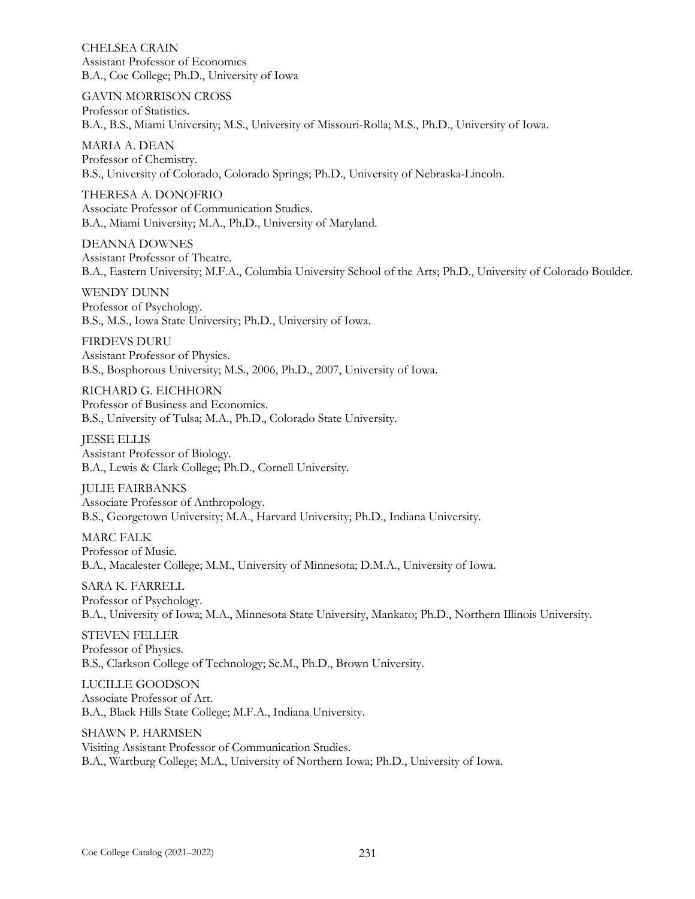CHELSEA CRAIN Assistant Professor of Economics B.A., Coe College; Ph.D., University of Iowa

GAVIN MORRISON CROSS Professor of Statistics. B.A., B.S., Miami University; M.S., University of Missouri-Rolla; M.S., Ph.D., University of Iowa.

MARIA A. DEAN Professor of Chemistry. B.S., University of Colorado, Colorado Springs; Ph.D., University of Nebraska-Lincoln.

THERESA A. DONOFRIO Associate Professor of Communication Studies. B.A., Miami University; M.A., Ph.D., University of Maryland.

DEANNA DOWNES Assistant Professor of Theatre. B.A., Eastern University; M.F.A., Columbia University School of the Arts; Ph.D., University of Colorado Boulder.

WENDY DUNN Professor of Psychology. B.S., M.S., Iowa State University; Ph.D., University of Iowa.

FIRDEVS DURU Assistant Professor of Physics. B.S., Bosphorous University; M.S., 2006, Ph.D., 2007, University of Iowa.

RICHARD G. EICHHORN Professor of Business and Economics. B.S., University of Tulsa; M.A., Ph.D., Colorado State University.

JESSE ELLIS Assistant Professor of Biology. B.A., Lewis & Clark College; Ph.D., Cornell University.

JULIE FAIRBANKS Associate Professor of Anthropology. B.S., Georgetown University; M.A., Harvard University; Ph.D., Indiana University.

MARC FALK Professor of Music. B.A., Macalester College; M.M., University of Minnesota; D.M.A., University of Iowa.

SARA K. FARRELL Professor of Psychology. B.A., University of Iowa; M.A., Minnesota State University, Mankato; Ph.D., Northern Illinois University.

STEVEN FELLER Professor of Physics. B.S., Clarkson College of Technology; Sc.M., Ph.D., Brown University.

LUCILLE GOODSON Associate Professor of Art. B.A., Black Hills State College; M.F.A., Indiana University.

SHAWN P. HARMSEN Visiting Assistant Professor of Communication Studies. B.A., Wartburg College; M.A., University of Northern Iowa; Ph.D., University of Iowa.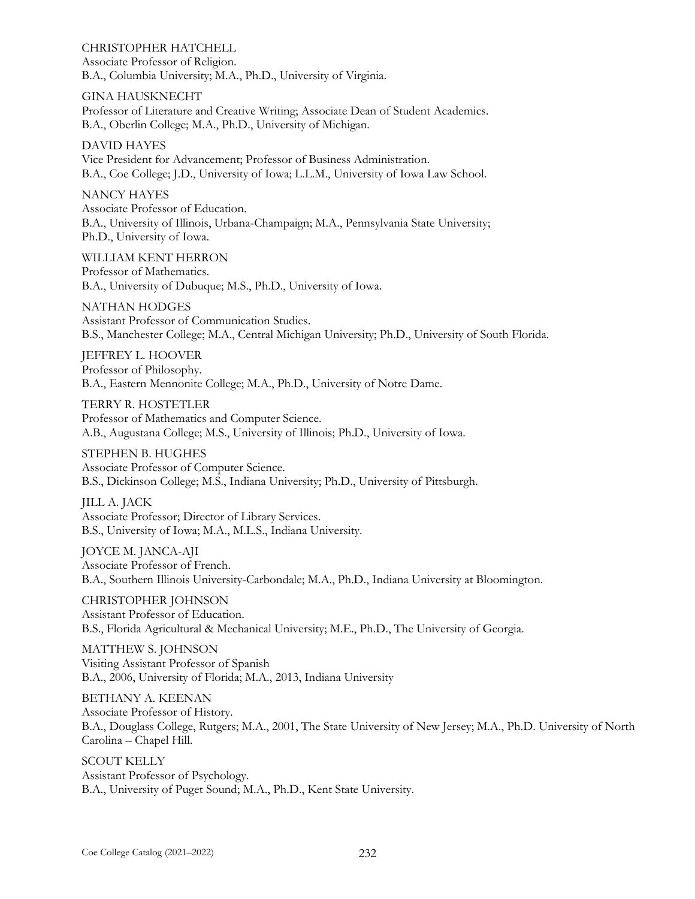CHRISTOPHER HATCHELL Associate Professor of Religion. B.A., Columbia University; M.A., Ph.D., University of Virginia.

GINA HAUSKNECHT Professor of Literature and Creative Writing; Associate Dean of Student Academics. B.A., Oberlin College; M.A., Ph.D., University of Michigan.

DAVID HAYES Vice President for Advancement; Professor of Business Administration. B.A., Coe College; J.D., University of Iowa; L.L.M., University of Iowa Law School.

NANCY HAYES

Associate Professor of Education. B.A., University of Illinois, Urbana-Champaign; M.A., Pennsylvania State University; Ph.D., University of Iowa.

WILLIAM KENT HERRON Professor of Mathematics. B.A., University of Dubuque; M.S., Ph.D., University of Iowa.

NATHAN HODGES Assistant Professor of Communication Studies. B.S., Manchester College; M.A., Central Michigan University; Ph.D., University of South Florida.

JEFFREY L. HOOVER Professor of Philosophy. B.A., Eastern Mennonite College; M.A., Ph.D., University of Notre Dame.

TERRY R. HOSTETLER Professor of Mathematics and Computer Science. A.B., Augustana College; M.S., University of Illinois; Ph.D., University of Iowa.

STEPHEN B. HUGHES Associate Professor of Computer Science. B.S., Dickinson College; M.S., Indiana University; Ph.D., University of Pittsburgh.

JILL A. JACK Associate Professor; Director of Library Services. B.S., University of Iowa; M.A., M.L.S., Indiana University.

JOYCE M. JANCA-AJI Associate Professor of French. B.A., Southern Illinois University-Carbondale; M.A., Ph.D., Indiana University at Bloomington.

CHRISTOPHER JOHNSON Assistant Professor of Education. B.S., Florida Agricultural & Mechanical University; M.E., Ph.D., The University of Georgia.

MATTHEW S. JOHNSON Visiting Assistant Professor of Spanish B.A., 2006, University of Florida; M.A., 2013, Indiana University

BETHANY A. KEENAN Associate Professor of History. B.A., Douglass College, Rutgers; M.A., 2001, The State University of New Jersey; M.A., Ph.D. University of North Carolina – Chapel Hill.

SCOUT KELLY Assistant Professor of Psychology. B.A., University of Puget Sound; M.A., Ph.D., Kent State University.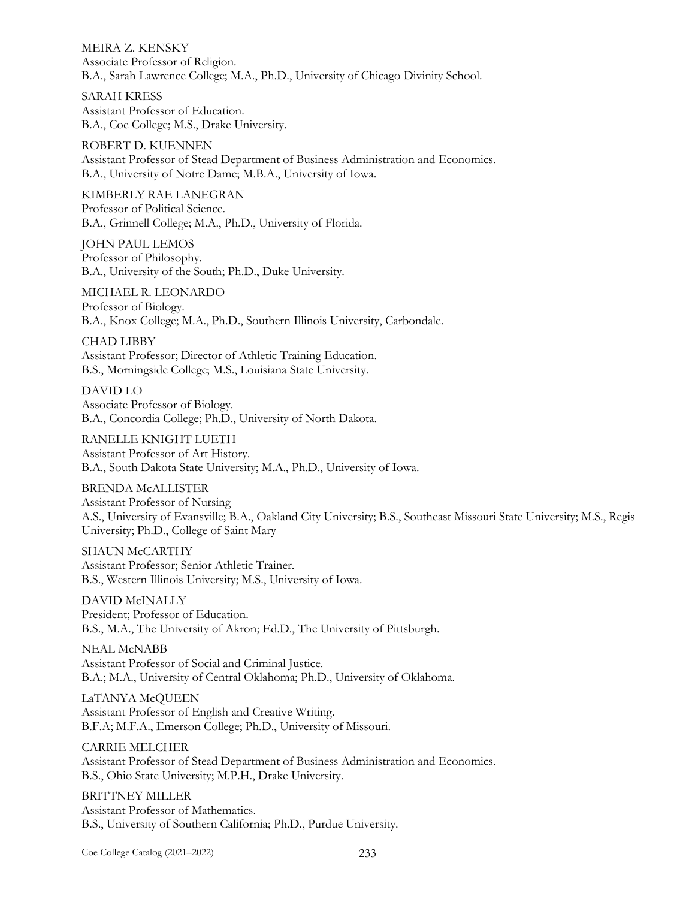MEIRA Z. KENSKY Associate Professor of Religion. B.A., Sarah Lawrence College; M.A., Ph.D., University of Chicago Divinity School.

SARAH KRESS Assistant Professor of Education. B.A., Coe College; M.S., Drake University.

ROBERT D. KUENNEN Assistant Professor of Stead Department of Business Administration and Economics. B.A., University of Notre Dame; M.B.A., University of Iowa.

KIMBERLY RAE LANEGRAN Professor of Political Science. B.A., Grinnell College; M.A., Ph.D., University of Florida.

JOHN PAUL LEMOS Professor of Philosophy. B.A., University of the South; Ph.D., Duke University.

MICHAEL R. LEONARDO Professor of Biology. B.A., Knox College; M.A., Ph.D., Southern Illinois University, Carbondale.

CHAD LIBBY Assistant Professor; Director of Athletic Training Education. B.S., Morningside College; M.S., Louisiana State University.

DAVID LO Associate Professor of Biology. B.A., Concordia College; Ph.D., University of North Dakota.

RANELLE KNIGHT LUETH Assistant Professor of Art History. B.A., South Dakota State University; M.A., Ph.D., University of Iowa.

BRENDA McALLISTER Assistant Professor of Nursing A.S., University of Evansville; B.A., Oakland City University; B.S., Southeast Missouri State University; M.S., Regis University; Ph.D., College of Saint Mary

SHAUN McCARTHY Assistant Professor; Senior Athletic Trainer. B.S., Western Illinois University; M.S., University of Iowa.

DAVID McINALLY President; Professor of Education. B.S., M.A., The University of Akron; Ed.D., The University of Pittsburgh.

NEAL McNABB Assistant Professor of Social and Criminal Justice. B.A.; M.A., University of Central Oklahoma; Ph.D., University of Oklahoma.

LaTANYA McQUEEN Assistant Professor of English and Creative Writing. B.F.A; M.F.A., Emerson College; Ph.D., University of Missouri.

CARRIE MELCHER Assistant Professor of Stead Department of Business Administration and Economics. B.S., Ohio State University; M.P.H., Drake University.

BRITTNEY MILLER Assistant Professor of Mathematics. B.S., University of Southern California; Ph.D., Purdue University.

Coe College Catalog (2021–2022) 233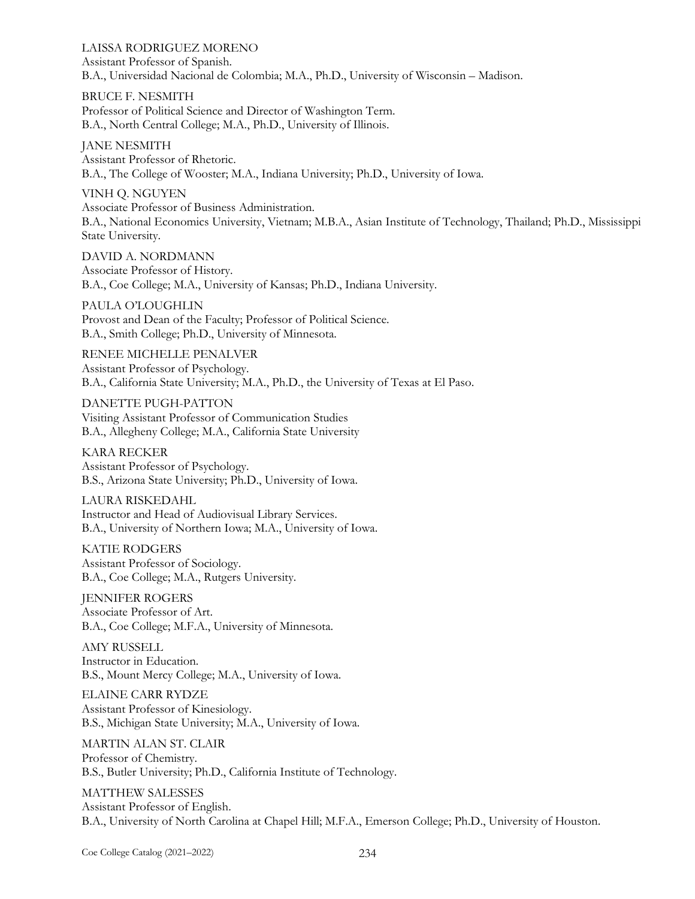LAISSA RODRIGUEZ MORENO Assistant Professor of Spanish. B.A., Universidad Nacional de Colombia; M.A., Ph.D., University of Wisconsin – Madison.

BRUCE F. NESMITH Professor of Political Science and Director of Washington Term. B.A., North Central College; M.A., Ph.D., University of Illinois.

JANE NESMITH Assistant Professor of Rhetoric. B.A., The College of Wooster; M.A., Indiana University; Ph.D., University of Iowa.

VINH Q. NGUYEN Associate Professor of Business Administration. B.A., National Economics University, Vietnam; M.B.A., Asian Institute of Technology, Thailand; Ph.D., Mississippi State University.

DAVID A. NORDMANN Associate Professor of History. B.A., Coe College; M.A., University of Kansas; Ph.D., Indiana University.

PAULA O'LOUGHLIN Provost and Dean of the Faculty; Professor of Political Science. B.A., Smith College; Ph.D., University of Minnesota.

RENEE MICHELLE PENALVER Assistant Professor of Psychology. B.A., California State University; M.A., Ph.D., the University of Texas at El Paso.

DANETTE PUGH-PATTON Visiting Assistant Professor of Communication Studies B.A., Allegheny College; M.A., California State University

KARA RECKER Assistant Professor of Psychology. B.S., Arizona State University; Ph.D., University of Iowa.

LAURA RISKEDAHL Instructor and Head of Audiovisual Library Services. B.A., University of Northern Iowa; M.A., University of Iowa.

KATIE RODGERS Assistant Professor of Sociology. B.A., Coe College; M.A., Rutgers University.

JENNIFER ROGERS Associate Professor of Art. B.A., Coe College; M.F.A., University of Minnesota.

AMY RUSSELL Instructor in Education. B.S., Mount Mercy College; M.A., University of Iowa.

ELAINE CARR RYDZE Assistant Professor of Kinesiology. B.S., Michigan State University; M.A., University of Iowa.

MARTIN ALAN ST. CLAIR Professor of Chemistry. B.S., Butler University; Ph.D., California Institute of Technology.

MATTHEW SALESSES Assistant Professor of English. B.A., University of North Carolina at Chapel Hill; M.F.A., Emerson College; Ph.D., University of Houston.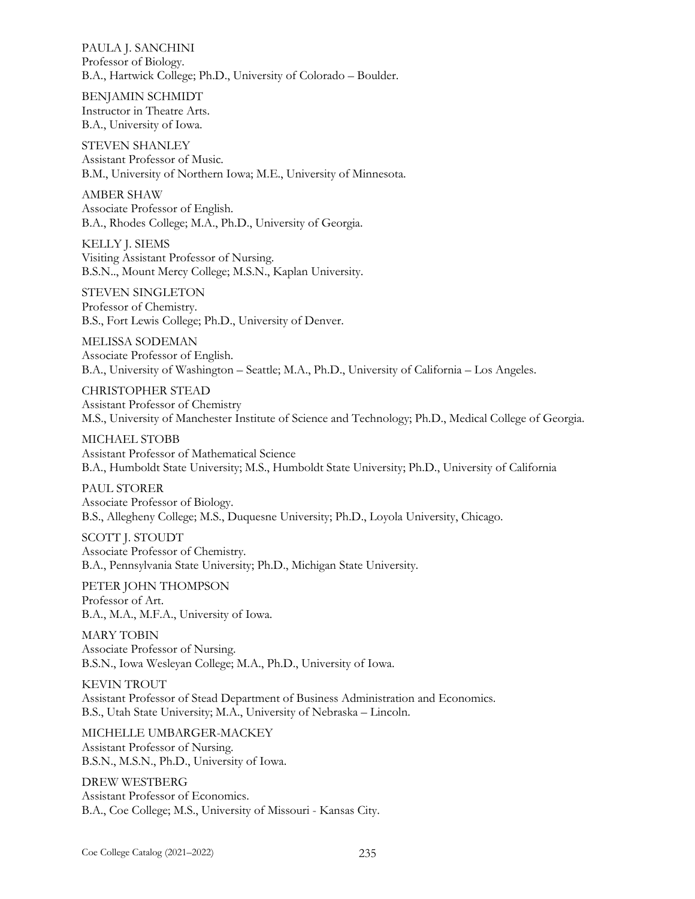PAULA J. SANCHINI Professor of Biology. B.A., Hartwick College; Ph.D., University of Colorado – Boulder.

BENJAMIN SCHMIDT Instructor in Theatre Arts. B.A., University of Iowa.

STEVEN SHANLEY Assistant Professor of Music. B.M., University of Northern Iowa; M.E., University of Minnesota.

AMBER SHAW Associate Professor of English. B.A., Rhodes College; M.A., Ph.D., University of Georgia.

KELLY J. SIEMS Visiting Assistant Professor of Nursing. B.S.N.., Mount Mercy College; M.S.N., Kaplan University.

STEVEN SINGLETON Professor of Chemistry. B.S., Fort Lewis College; Ph.D., University of Denver.

MELISSA SODEMAN Associate Professor of English. B.A., University of Washington – Seattle; M.A., Ph.D., University of California – Los Angeles.

CHRISTOPHER STEAD Assistant Professor of Chemistry M.S., University of Manchester Institute of Science and Technology; Ph.D., Medical College of Georgia.

MICHAEL STOBB Assistant Professor of Mathematical Science B.A., Humboldt State University; M.S., Humboldt State University; Ph.D., University of California

PAUL STORER Associate Professor of Biology. B.S., Allegheny College; M.S., Duquesne University; Ph.D., Loyola University, Chicago.

SCOTT J. STOUDT Associate Professor of Chemistry. B.A., Pennsylvania State University; Ph.D., Michigan State University.

PETER JOHN THOMPSON Professor of Art. B.A., M.A., M.F.A., University of Iowa.

MARY TOBIN Associate Professor of Nursing. B.S.N., Iowa Wesleyan College; M.A., Ph.D., University of Iowa.

KEVIN TROUT Assistant Professor of Stead Department of Business Administration and Economics. B.S., Utah State University; M.A., University of Nebraska – Lincoln.

MICHELLE UMBARGER-MACKEY Assistant Professor of Nursing. B.S.N., M.S.N., Ph.D., University of Iowa.

DREW WESTBERG Assistant Professor of Economics. B.A., Coe College; M.S., University of Missouri - Kansas City.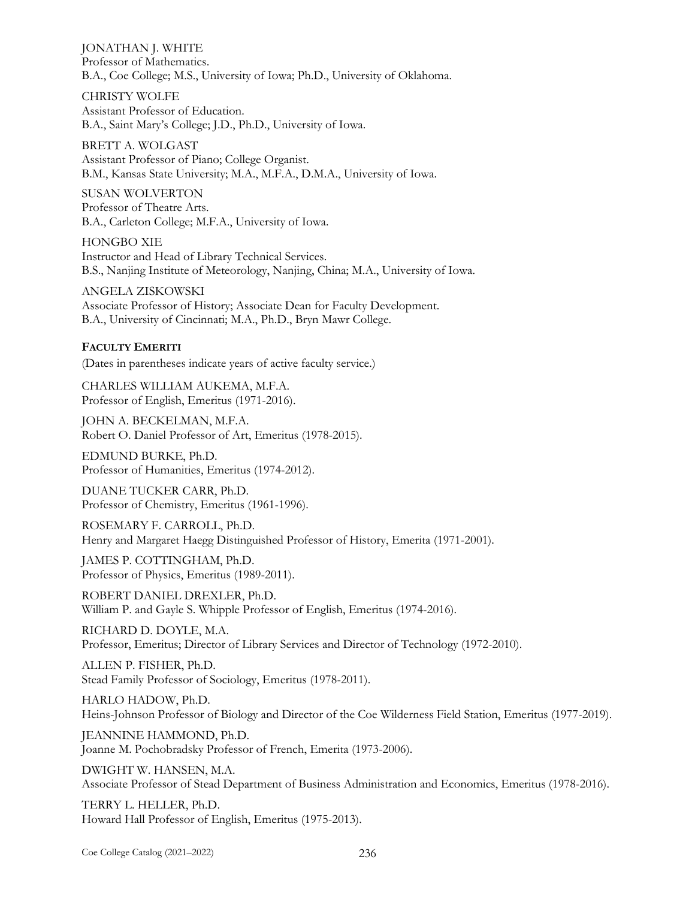JONATHAN J. WHITE Professor of Mathematics. B.A., Coe College; M.S., University of Iowa; Ph.D., University of Oklahoma.

CHRISTY WOLFE Assistant Professor of Education. B.A., Saint Mary's College; J.D., Ph.D., University of Iowa.

BRETT A. WOLGAST Assistant Professor of Piano; College Organist. B.M., Kansas State University; M.A., M.F.A., D.M.A., University of Iowa.

SUSAN WOLVERTON Professor of Theatre Arts. B.A., Carleton College; M.F.A., University of Iowa.

HONGBO XIE Instructor and Head of Library Technical Services. B.S., Nanjing Institute of Meteorology, Nanjing, China; M.A., University of Iowa.

ANGELA ZISKOWSKI Associate Professor of History; Associate Dean for Faculty Development. B.A., University of Cincinnati; M.A., Ph.D., Bryn Mawr College.

## **FACULTY EMERITI**

(Dates in parentheses indicate years of active faculty service.)

CHARLES WILLIAM AUKEMA, M.F.A. Professor of English, Emeritus (1971-2016).

JOHN A. BECKELMAN, M.F.A. Robert O. Daniel Professor of Art, Emeritus (1978-2015).

EDMUND BURKE, Ph.D. Professor of Humanities, Emeritus (1974-2012).

DUANE TUCKER CARR, Ph.D. Professor of Chemistry, Emeritus (1961-1996).

ROSEMARY F. CARROLL, Ph.D. Henry and Margaret Haegg Distinguished Professor of History, Emerita (1971-2001).

JAMES P. COTTINGHAM, Ph.D. Professor of Physics, Emeritus (1989-2011).

ROBERT DANIEL DREXLER, Ph.D. William P. and Gayle S. Whipple Professor of English, Emeritus (1974-2016).

RICHARD D. DOYLE, M.A. Professor, Emeritus; Director of Library Services and Director of Technology (1972-2010).

ALLEN P. FISHER, Ph.D. Stead Family Professor of Sociology, Emeritus (1978-2011).

HARLO HADOW, Ph.D. Heins-Johnson Professor of Biology and Director of the Coe Wilderness Field Station, Emeritus (1977-2019).

JEANNINE HAMMOND, Ph.D. Joanne M. Pochobradsky Professor of French, Emerita (1973-2006).

DWIGHT W. HANSEN, M.A. Associate Professor of Stead Department of Business Administration and Economics, Emeritus (1978-2016).

TERRY L. HELLER, Ph.D. Howard Hall Professor of English, Emeritus (1975-2013).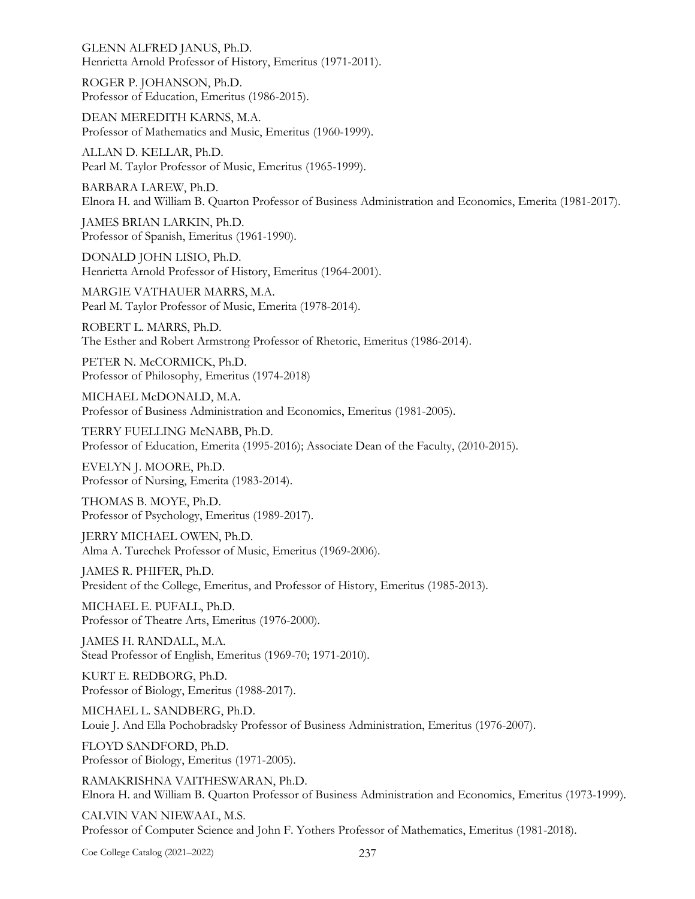GLENN ALFRED JANUS, Ph.D. Henrietta Arnold Professor of History, Emeritus (1971-2011).

ROGER P. JOHANSON, Ph.D. Professor of Education, Emeritus (1986-2015).

DEAN MEREDITH KARNS, M.A. Professor of Mathematics and Music, Emeritus (1960-1999).

ALLAN D. KELLAR, Ph.D. Pearl M. Taylor Professor of Music, Emeritus (1965-1999).

BARBARA LAREW, Ph.D. Elnora H. and William B. Quarton Professor of Business Administration and Economics, Emerita (1981-2017).

JAMES BRIAN LARKIN, Ph.D. Professor of Spanish, Emeritus (1961-1990).

DONALD JOHN LISIO, Ph.D. Henrietta Arnold Professor of History, Emeritus (1964-2001).

MARGIE VATHAUER MARRS, M.A. Pearl M. Taylor Professor of Music, Emerita (1978-2014).

ROBERT L. MARRS, Ph.D. The Esther and Robert Armstrong Professor of Rhetoric, Emeritus (1986-2014).

PETER N. McCORMICK, Ph.D. Professor of Philosophy, Emeritus (1974-2018)

MICHAEL McDONALD, M.A. Professor of Business Administration and Economics, Emeritus (1981-2005).

TERRY FUELLING McNABB, Ph.D. Professor of Education, Emerita (1995-2016); Associate Dean of the Faculty, (2010-2015).

EVELYN J. MOORE, Ph.D. Professor of Nursing, Emerita (1983-2014).

THOMAS B. MOYE, Ph.D. Professor of Psychology, Emeritus (1989-2017).

JERRY MICHAEL OWEN, Ph.D. Alma A. Turechek Professor of Music, Emeritus (1969-2006).

JAMES R. PHIFER, Ph.D. President of the College, Emeritus, and Professor of History, Emeritus (1985-2013).

MICHAEL E. PUFALL, Ph.D. Professor of Theatre Arts, Emeritus (1976-2000).

JAMES H. RANDALL, M.A. Stead Professor of English, Emeritus (1969-70; 1971-2010).

KURT E. REDBORG, Ph.D. Professor of Biology, Emeritus (1988-2017).

MICHAEL L. SANDBERG, Ph.D. Louie J. And Ella Pochobradsky Professor of Business Administration, Emeritus (1976-2007).

FLOYD SANDFORD, Ph.D. Professor of Biology, Emeritus (1971-2005).

RAMAKRISHNA VAITHESWARAN, Ph.D. Elnora H. and William B. Quarton Professor of Business Administration and Economics, Emeritus (1973-1999).

CALVIN VAN NIEWAAL, M.S. Professor of Computer Science and John F. Yothers Professor of Mathematics, Emeritus (1981-2018).

Coe College Catalog (2021–2022) 237